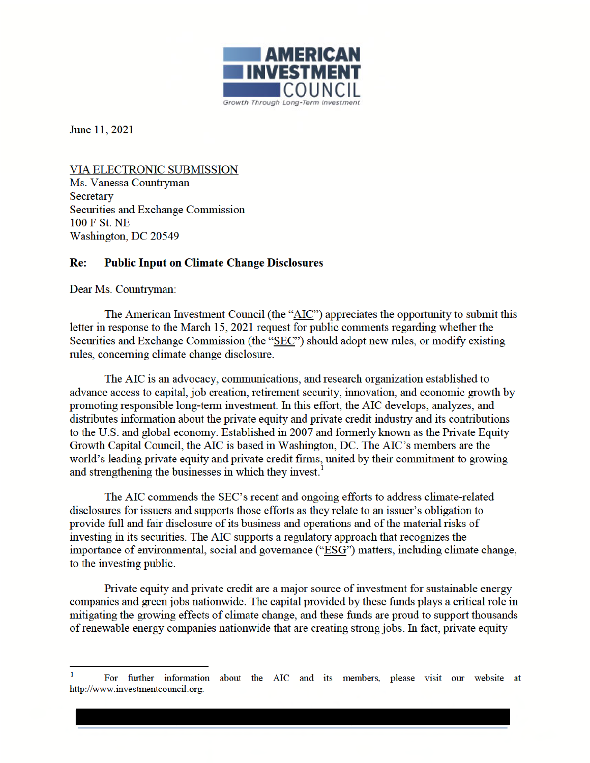

June 11, 2021

VIA ELECTRONIC SUBMISSION Ms. Vanessa Countryman Secretary Securities and Exchange Commission 100 F St. NE Washington, DC 20549

## **Public Input on Climate Change Disclosures**  $Re:$

Dear Ms. Countryman:

The American Investment Council (the "AIC") appreciates the opportunity to submit this letter in response to the March 15, 2021 request for public comments regarding whether the Securities and Exchange Commission (the "SEC") should adopt new rules, or modify existing rules, concerning climate change disclosure.

The AIC is an advocacy, communications, and research organization established to advance access to capital, job creation, retirement security, innovation, and economic growth by promoting responsible long-term investment. In this effort, the AIC develops, analyzes, and distributes information about the private equity and private credit industry and its contributions to the U.S. and global economy. Established in 2007 and formerly known as the Private Equity Growth Capital Council, the AIC is based in Washington, DC. The AIC's members are the world's leading private equity and private credit firms, united by their commitment to growing and strengthening the businesses in which they invest.

The AIC commends the SEC's recent and ongoing efforts to address climate-related disclosures for issuers and supports those efforts as they relate to an issuer's obligation to provide full and fair disclosure of its business and operations and of the material risks of investing in its securities. The AIC supports a regulatory approach that recognizes the importance of environmental, social and governance ("ESG") matters, including climate change, to the investing public.

Private equity and private credit are a major source of investment for sustainable energy companies and green jobs nationwide. The capital provided by these funds plays a critical role in mitigating the growing effects of climate change, and these funds are proud to support thousands of renewable energy companies nationwide that are creating strong jobs. In fact, private equity

For further information about the AIC and its members, please visit our website at http://www.investmentcouncil.org.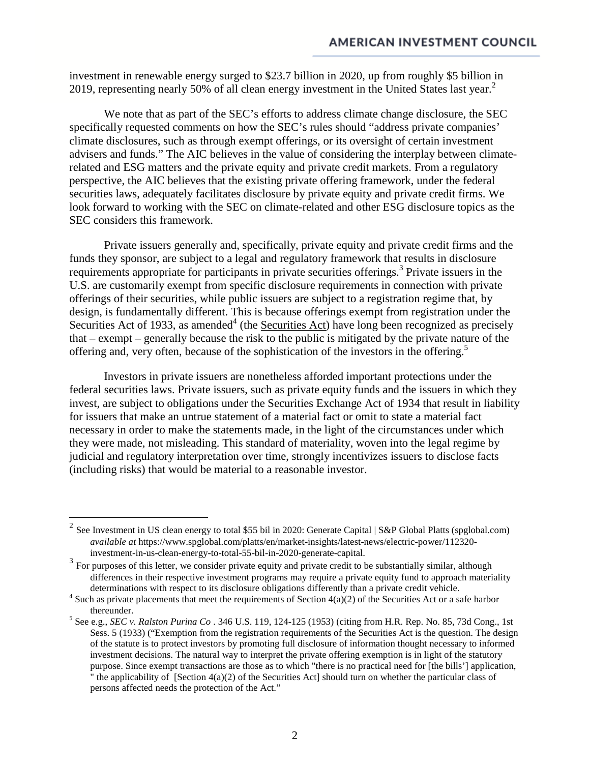investment in renewable energy surged to \$23.7 billion in 2020, up from roughly \$5 billion in 2019, representing nearly 50% of all clean energy investment in the United States last year.<sup>2</sup>

We note that as part of the SEC's efforts to address climate change disclosure, the SEC specifically requested comments on how the SEC's rules should "address private companies' climate disclosures, such as through exempt offerings, or its oversight of certain investment advisers and funds." The AIC believes in the value of considering the interplay between climaterelated and ESG matters and the private equity and private credit markets. From a regulatory perspective, the AIC believes that the existing private offering framework, under the federal securities laws, adequately facilitates disclosure by private equity and private credit firms. We look forward to working with the SEC on climate-related and other ESG disclosure topics as the SEC considers this framework.

Private issuers generally and, specifically, private equity and private credit firms and the funds they sponsor, are subject to a legal and regulatory framework that results in disclosure requirements appropriate for participants in private securities offerings.<sup>3</sup> Private issuers in the U.S. are customarily exempt from specific disclosure requirements in connection with private offerings of their securities, while public issuers are subject to a registration regime that, by design, is fundamentally different. This is because offerings exempt from registration under the Securities Act of 1933, as amended<sup>4</sup> (the Securities Act) have long been recognized as precisely that – exempt – generally because the risk to the public is mitigated by the private nature of the offering and, very often, because of the sophistication of the investors in the offering.<sup>5</sup>

Investors in private issuers are nonetheless afforded important protections under the federal securities laws. Private issuers, such as private equity funds and the issuers in which they invest, are subject to obligations under the Securities Exchange Act of 1934 that result in liability for issuers that make an untrue statement of a material fact or omit to state a material fact necessary in order to make the statements made, in the light of the circumstances under which they were made, not misleading. This standard of materiality, woven into the legal regime by judicial and regulatory interpretation over time, strongly incentivizes issuers to disclose facts (including risks) that would be material to a reasonable investor.

<sup>&</sup>lt;sup>2</sup> See Investment in US clean energy to total \$55 bil in 2020: Generate Capital | S&P Global Platts (spglobal.com) *available at* https://www.spglobal.com/platts/en/market-insights/latest-news/electric-power/112320 investment-in-us-clean-energy-to-total-55-bil-in-2020-generate-capital.

<sup>&</sup>lt;sup>3</sup> For purposes of this letter, we consider private equity and private credit to be substantially similar, although differences in their respective investment programs may require a private equity fund to approach materiality determinations with respect to its disclosure obligations differently than a private credit vehicle.

<sup>&</sup>lt;sup>4</sup> Such as private placements that meet the requirements of Section  $4(a)(2)$  of the Securities Act or a safe harbor thereunder.

<sup>5</sup> See e.g., *SEC v. Ralston Purina Co* . 346 U.S. 119, 124-125 (1953) (citing from H.R. Rep. No. 85, 73d Cong., 1st Sess. 5 (1933) ("Exemption from the registration requirements of the Securities Act is the question. The design of the statute is to protect investors by promoting full disclosure of information thought necessary to informed investment decisions. The natural way to interpret the private offering exemption is in light of the statutory purpose. Since exempt transactions are those as to which "there is no practical need for [the bills'] application, " the applicability of  $[Section 4(a)(2)$  of the Securities Act] should turn on whether the particular class of persons affected needs the protection of the Act."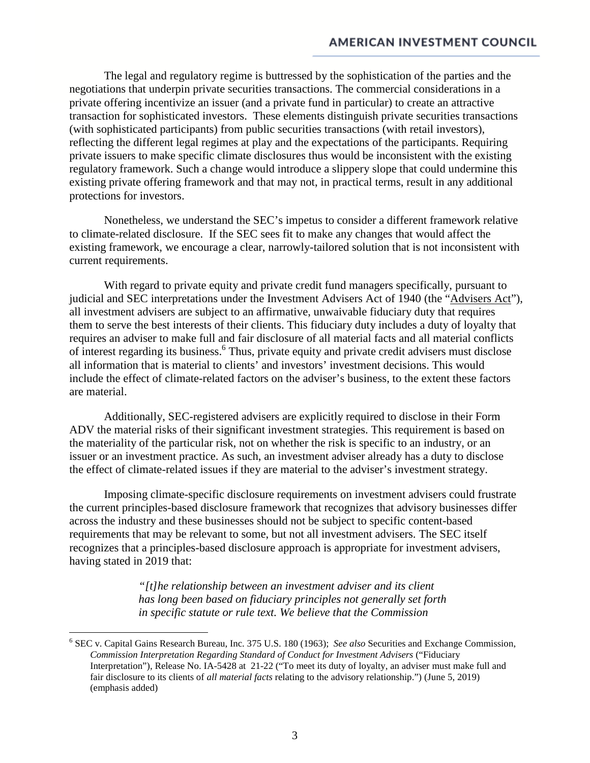The legal and regulatory regime is buttressed by the sophistication of the parties and the negotiations that underpin private securities transactions. The commercial considerations in a private offering incentivize an issuer (and a private fund in particular) to create an attractive transaction for sophisticated investors. These elements distinguish private securities transactions (with sophisticated participants) from public securities transactions (with retail investors), reflecting the different legal regimes at play and the expectations of the participants. Requiring private issuers to make specific climate disclosures thus would be inconsistent with the existing regulatory framework. Such a change would introduce a slippery slope that could undermine this existing private offering framework and that may not, in practical terms, result in any additional protections for investors.

Nonetheless, we understand the SEC's impetus to consider a different framework relative to climate-related disclosure. If the SEC sees fit to make any changes that would affect the existing framework, we encourage a clear, narrowly-tailored solution that is not inconsistent with current requirements.

With regard to private equity and private credit fund managers specifically, pursuant to judicial and SEC interpretations under the Investment Advisers Act of 1940 (the "Advisers Act"), all investment advisers are subject to an affirmative, unwaivable fiduciary duty that requires them to serve the best interests of their clients. This fiduciary duty includes a duty of loyalty that requires an adviser to make full and fair disclosure of all material facts and all material conflicts of interest regarding its business.<sup>6</sup> Thus, private equity and private credit advisers must disclose all information that is material to clients' and investors' investment decisions. This would include the effect of climate-related factors on the adviser's business, to the extent these factors are material.

Additionally, SEC-registered advisers are explicitly required to disclose in their Form ADV the material risks of their significant investment strategies. This requirement is based on the materiality of the particular risk, not on whether the risk is specific to an industry, or an issuer or an investment practice. As such, an investment adviser already has a duty to disclose the effect of climate-related issues if they are material to the adviser's investment strategy.

Imposing climate-specific disclosure requirements on investment advisers could frustrate the current principles-based disclosure framework that recognizes that advisory businesses differ across the industry and these businesses should not be subject to specific content-based requirements that may be relevant to some, but not all investment advisers. The SEC itself recognizes that a principles-based disclosure approach is appropriate for investment advisers, having stated in 2019 that:

> *"[t]he relationship between an investment adviser and its client has long been based on fiduciary principles not generally set forth in specific statute or rule text. We believe that the Commission*

<sup>6</sup> SEC v. Capital Gains Research Bureau, Inc. 375 U.S. 180 (1963); *See also* Securities and Exchange Commission, *Commission Interpretation Regarding Standard of Conduct for Investment Advisers* ("Fiduciary Interpretation"), Release No. IA-5428 at 21-22 ("To meet its duty of loyalty, an adviser must make full and fair disclosure to its clients of *all material facts* relating to the advisory relationship.") (June 5, 2019) (emphasis added)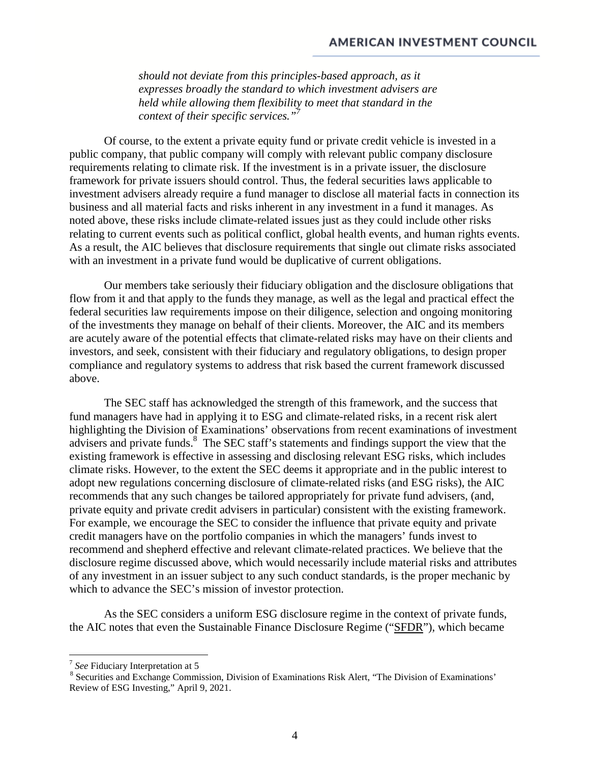*should not deviate from this principles-based approach, as it expresses broadly the standard to which investment advisers are held while allowing them flexibility to meet that standard in the context of their specific services."<sup>7</sup>*

Of course, to the extent a private equity fund or private credit vehicle is invested in a public company, that public company will comply with relevant public company disclosure requirements relating to climate risk. If the investment is in a private issuer, the disclosure framework for private issuers should control. Thus, the federal securities laws applicable to investment advisers already require a fund manager to disclose all material facts in connection its business and all material facts and risks inherent in any investment in a fund it manages. As noted above, these risks include climate-related issues just as they could include other risks relating to current events such as political conflict, global health events, and human rights events. As a result, the AIC believes that disclosure requirements that single out climate risks associated with an investment in a private fund would be duplicative of current obligations.

Our members take seriously their fiduciary obligation and the disclosure obligations that flow from it and that apply to the funds they manage, as well as the legal and practical effect the federal securities law requirements impose on their diligence, selection and ongoing monitoring of the investments they manage on behalf of their clients. Moreover, the AIC and its members are acutely aware of the potential effects that climate-related risks may have on their clients and investors, and seek, consistent with their fiduciary and regulatory obligations, to design proper compliance and regulatory systems to address that risk based the current framework discussed above.

The SEC staff has acknowledged the strength of this framework, and the success that fund managers have had in applying it to ESG and climate-related risks, in a recent risk alert highlighting the Division of Examinations' observations from recent examinations of investment advisers and private funds.<sup>8</sup> The SEC staff's statements and findings support the view that the existing framework is effective in assessing and disclosing relevant ESG risks, which includes climate risks. However, to the extent the SEC deems it appropriate and in the public interest to adopt new regulations concerning disclosure of climate-related risks (and ESG risks), the AIC recommends that any such changes be tailored appropriately for private fund advisers, (and, private equity and private credit advisers in particular) consistent with the existing framework. For example, we encourage the SEC to consider the influence that private equity and private credit managers have on the portfolio companies in which the managers' funds invest to recommend and shepherd effective and relevant climate-related practices. We believe that the disclosure regime discussed above, which would necessarily include material risks and attributes of any investment in an issuer subject to any such conduct standards, is the proper mechanic by which to advance the SEC's mission of investor protection.

As the SEC considers a uniform ESG disclosure regime in the context of private funds, the AIC notes that even the Sustainable Finance Disclosure Regime ("SFDR"), which became

<sup>7</sup> *See* Fiduciary Interpretation at 5

<sup>&</sup>lt;sup>8</sup> Securities and Exchange Commission, Division of Examinations Risk Alert, "The Division of Examinations' Review of ESG Investing," April 9, 2021.